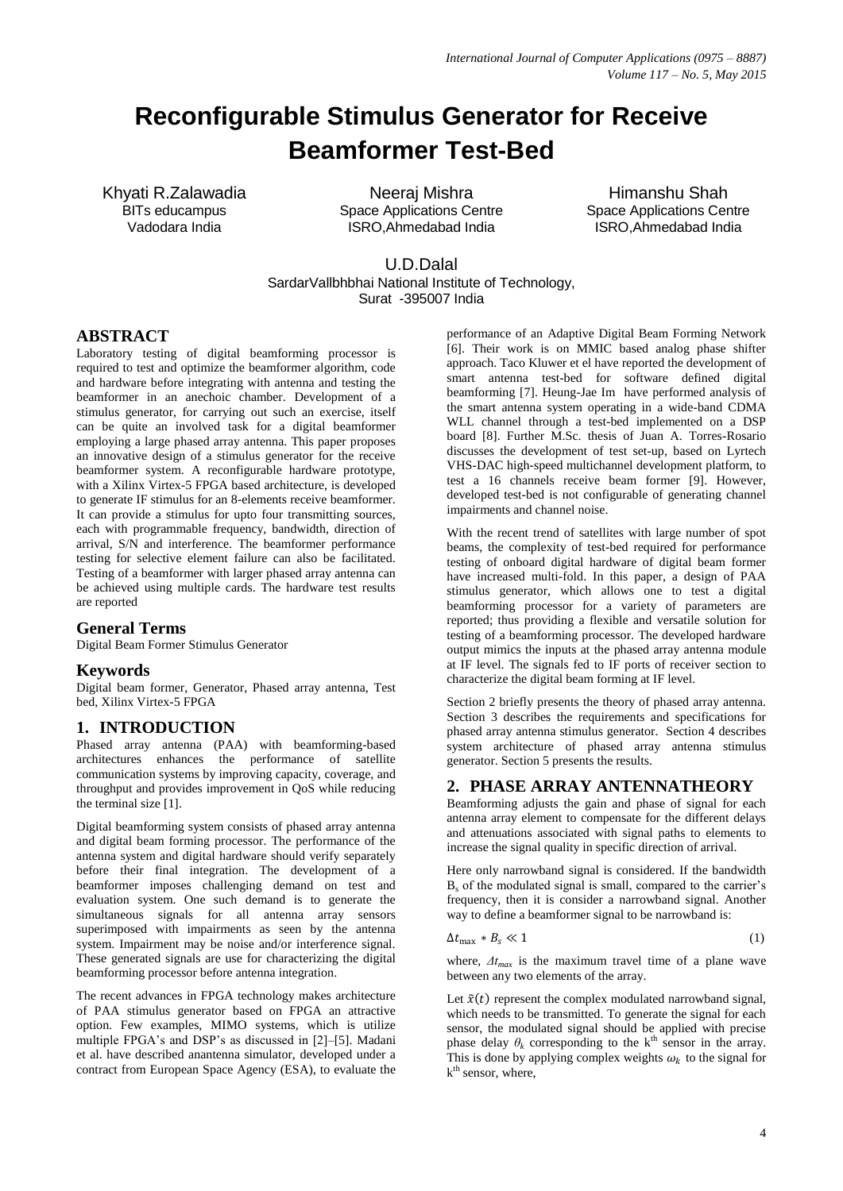# **Reconfigurable Stimulus Generator for Receive Beamformer Test-Bed**

Khyati R.Zalawadia BITs educampus Vadodara India

Neeraj Mishra Space Applications Centre ISRO,Ahmedabad India

Himanshu Shah Space Applications Centre ISRO,Ahmedabad India

U.D.Dalal SardarVallbhbhai National Institute of Technology, Surat -395007 India

# **ABSTRACT**

Laboratory testing of digital beamforming processor is required to test and optimize the beamformer algorithm, code and hardware before integrating with antenna and testing the beamformer in an anechoic chamber. Development of a stimulus generator, for carrying out such an exercise, itself can be quite an involved task for a digital beamformer employing a large phased array antenna. This paper proposes an innovative design of a stimulus generator for the receive beamformer system. A reconfigurable hardware prototype, with a Xilinx Virtex-5 FPGA based architecture, is developed to generate IF stimulus for an 8-elements receive beamformer. It can provide a stimulus for upto four transmitting sources, each with programmable frequency, bandwidth, direction of arrival, S/N and interference. The beamformer performance testing for selective element failure can also be facilitated. Testing of a beamformer with larger phased array antenna can be achieved using multiple cards. The hardware test results are reported

### **General Terms**

Digital Beam Former Stimulus Generator

### **Keywords**

Digital beam former, Generator, Phased array antenna, Test bed, Xilinx Virtex-5 FPGA

### **1. INTRODUCTION**

Phased array antenna (PAA) with beamforming-based architectures enhances the performance of satellite communication systems by improving capacity, coverage, and throughput and provides improvement in QoS while reducing the terminal size [1].

Digital beamforming system consists of phased array antenna and digital beam forming processor. The performance of the antenna system and digital hardware should verify separately before their final integration. The development of a beamformer imposes challenging demand on test and evaluation system. One such demand is to generate the simultaneous signals for all antenna array sensors superimposed with impairments as seen by the antenna system. Impairment may be noise and/or interference signal. These generated signals are use for characterizing the digital beamforming processor before antenna integration.

The recent advances in FPGA technology makes architecture of PAA stimulus generator based on FPGA an attractive option. Few examples, MIMO systems, which is utilize multiple FPGA's and DSP's as discussed in [2]–[5]. Madani et al. have described anantenna simulator, developed under a contract from European Space Agency (ESA), to evaluate the performance of an Adaptive Digital Beam Forming Network [6]. Their work is on MMIC based analog phase shifter approach. Taco Kluwer et el have reported the development of smart antenna test-bed for software defined digital beamforming [7]. Heung-Jae Im have performed analysis of the smart antenna system operating in a wide-band CDMA WLL channel through a test-bed implemented on a DSP board [8]. Further M.Sc. thesis of Juan A. Torres-Rosario discusses the development of test set-up, based on Lyrtech VHS-DAC high-speed multichannel development platform, to test a 16 channels receive beam former [9]. However, developed test-bed is not configurable of generating channel impairments and channel noise.

With the recent trend of satellites with large number of spot beams, the complexity of test-bed required for performance testing of onboard digital hardware of digital beam former have increased multi-fold. In this paper, a design of PAA stimulus generator, which allows one to test a digital beamforming processor for a variety of parameters are reported; thus providing a flexible and versatile solution for testing of a beamforming processor. The developed hardware output mimics the inputs at the phased array antenna module at IF level. The signals fed to IF ports of receiver section to characterize the digital beam forming at IF level.

Section 2 briefly presents the theory of phased array antenna. Section 3 describes the requirements and specifications for phased array antenna stimulus generator. Section 4 describes system architecture of phased array antenna stimulus generator. Section 5 presents the results.

# **2. PHASE ARRAY ANTENNATHEORY**

Beamforming adjusts the gain and phase of signal for each antenna array element to compensate for the different delays and attenuations associated with signal paths to elements to increase the signal quality in specific direction of arrival.

Here only narrowband signal is considered. If the bandwidth  $B<sub>s</sub>$  of the modulated signal is small, compared to the carrier's frequency, then it is consider a narrowband signal. Another way to define a beamformer signal to be narrowband is:

$$
\Delta t_{\text{max}} * B_s \ll 1 \tag{1}
$$

where,  $\Delta t_{max}$  is the maximum travel time of a plane wave between any two elements of the array.

Let  $\tilde{x}(t)$  represent the complex modulated narrowband signal, which needs to be transmitted. To generate the signal for each sensor, the modulated signal should be applied with precise phase delay  $\theta_k$  corresponding to the k<sup>th</sup> sensor in the array. This is done by applying complex weights  $\omega_k$  to the signal for  $k<sup>th</sup>$  sensor, where,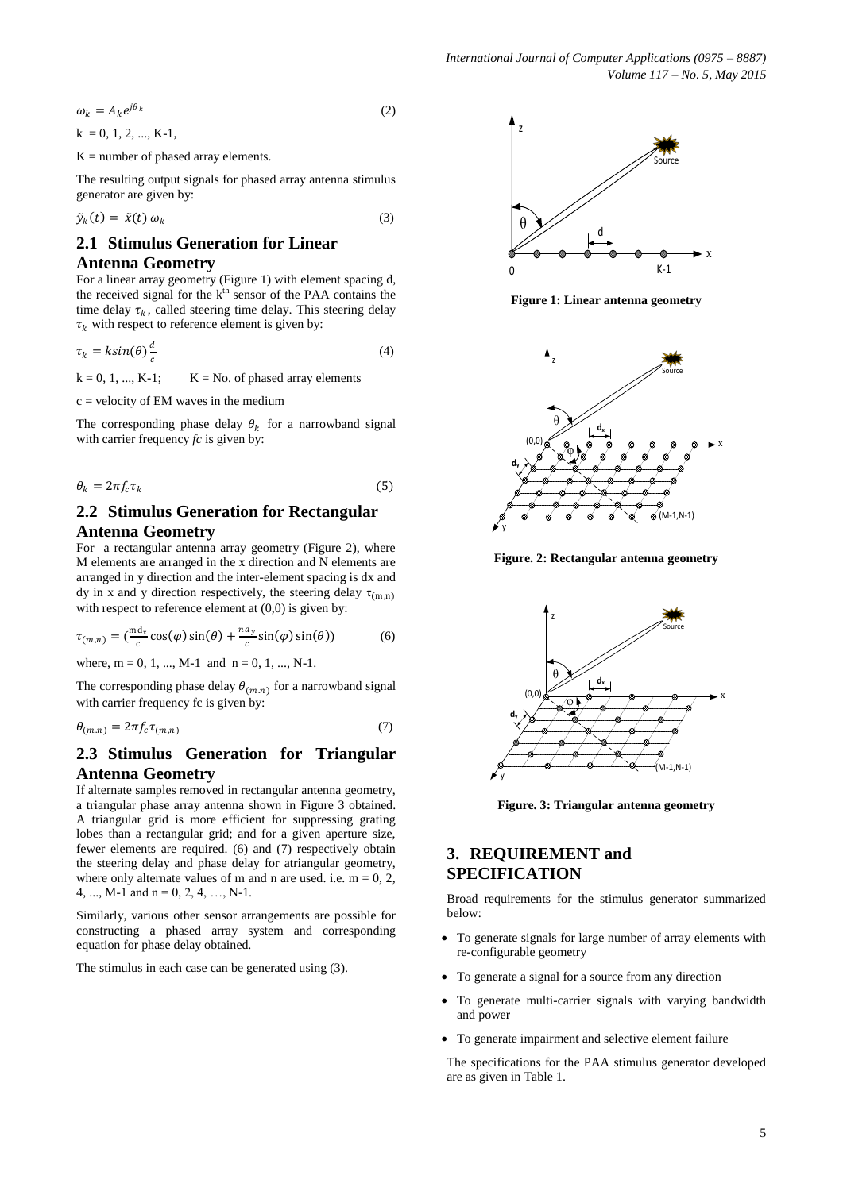$$
\omega_k = A_k e^{j\theta_k} \tag{2}
$$
  
k = 0, 1, 2, ..., K-1,

 $K =$  number of phased array elements.

The resulting output signals for phased array antenna stimulus generator are given by:

$$
\tilde{y}_k(t) = \tilde{x}(t) \omega_k \tag{3}
$$

# **2.1 Stimulus Generation for Linear Antenna Geometry**

For a linear array geometry (Figure 1) with element spacing d, the received signal for the k<sup>th</sup> sensor of the PAA contains the time delay  $\tau_k$ , called steering time delay. This steering delay  $\tau_k$  with respect to reference element is given by:

$$
\tau_k = k \sin(\theta) \frac{d}{c} \tag{4}
$$

 $k = 0, 1, ..., K-1;$   $K = No.$  of phased array elements

 $c =$  velocity of EM waves in the medium

The corresponding phase delay  $\theta_k$  for a narrowband signal with carrier frequency *fc* is given by:

$$
\theta_k = 2\pi f_c \tau_k \tag{5}
$$

# **2.2 Stimulus Generation for Rectangular Antenna Geometry**

For a rectangular antenna array geometry (Figure 2), where M elements are arranged in the x direction and N elements are arranged in y direction and the inter-element spacing is dx and dy in x and y direction respectively, the steering delay  $\tau_{(m,n)}$ with respect to reference element at  $(0,0)$  is given by:

$$
\tau_{(m,n)} = \left(\frac{md_x}{c}\cos(\varphi)\sin(\theta) + \frac{nd_y}{c}\sin(\varphi)\sin(\theta)\right) \tag{6}
$$

where,  $m = 0, 1, ..., M-1$  and  $n = 0, 1, ..., N-1$ .

The corresponding phase delay  $\theta_{(m,n)}$  for a narrowband signal with carrier frequency fc is given by:

$$
\theta_{(m,n)} = 2\pi f_c \tau_{(m,n)} \tag{7}
$$

## **2.3 Stimulus Generation for Triangular Antenna Geometry**

If alternate samples removed in rectangular antenna geometry, a triangular phase array antenna shown in Figure 3 obtained. A triangular grid is more efficient for suppressing grating lobes than a rectangular grid; and for a given aperture size, fewer elements are required. (6) and (7) respectively obtain the steering delay and phase delay for atriangular geometry, where only alternate values of m and n are used. i.e.  $m = 0, 2$ , 4, ..., M-1 and  $n = 0, 2, 4, ..., N-1$ .

Similarly, various other sensor arrangements are possible for constructing a phased array system and corresponding equation for phase delay obtained.

The stimulus in each case can be generated using (3).



**Figure 1: Linear antenna geometry**



**Figure. 2: Rectangular antenna geometry**



**Figure. 3: Triangular antenna geometry**

# **3. REQUIREMENT and SPECIFICATION**

Broad requirements for the stimulus generator summarized below:

- To generate signals for large number of array elements with re-configurable geometry
- To generate a signal for a source from any direction
- To generate multi-carrier signals with varying bandwidth and power
- To generate impairment and selective element failure

The specifications for the PAA stimulus generator developed are as given in Table 1.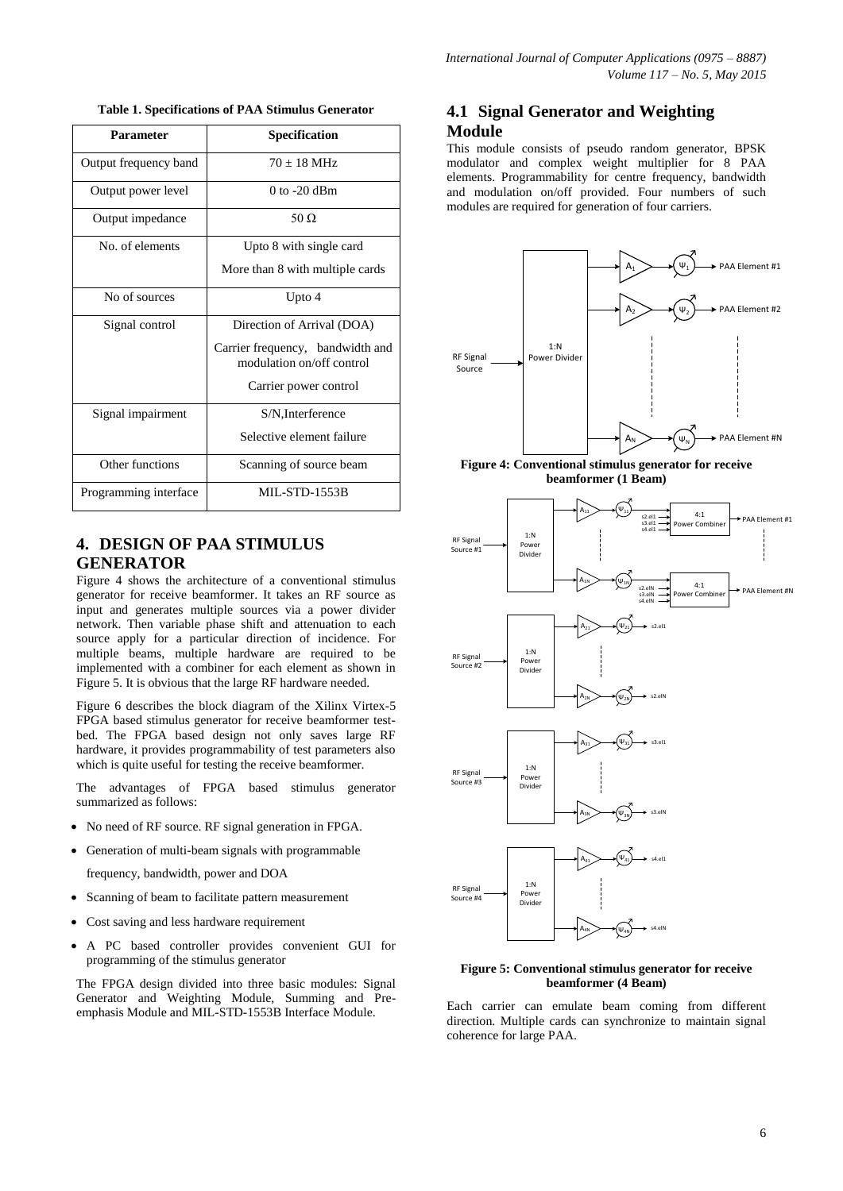**Table 1. Specifications of PAA Stimulus Generator**

| Parameter             | <b>Specification</b>                                          |  |
|-----------------------|---------------------------------------------------------------|--|
| Output frequency band | $70 + 18$ MHz                                                 |  |
| Output power level    | $0$ to $-20$ dBm                                              |  |
| Output impedance      | 50 Q                                                          |  |
| No. of elements       | Upto 8 with single card                                       |  |
|                       | More than 8 with multiple cards                               |  |
| No of sources         | Upto 4                                                        |  |
| Signal control        | Direction of Arrival (DOA)                                    |  |
|                       | Carrier frequency, bandwidth and<br>modulation on/off control |  |
|                       | Carrier power control                                         |  |
| Signal impairment     | S/N, Interference                                             |  |
|                       | Selective element failure                                     |  |
| Other functions       | Scanning of source beam                                       |  |
| Programming interface | <b>MIL-STD-1553B</b>                                          |  |

# **4. DESIGN OF PAA STIMULUS GENERATOR**

Figure 4 shows the architecture of a conventional stimulus generator for receive beamformer. It takes an RF source as input and generates multiple sources via a power divider network. Then variable phase shift and attenuation to each source apply for a particular direction of incidence. For multiple beams, multiple hardware are required to be implemented with a combiner for each element as shown in Figure 5. It is obvious that the large RF hardware needed.

Figure 6 describes the block diagram of the Xilinx Virtex-5 FPGA based stimulus generator for receive beamformer testbed. The FPGA based design not only saves large RF hardware, it provides programmability of test parameters also which is quite useful for testing the receive beamformer.

The advantages of FPGA based stimulus generator summarized as follows:

- No need of RF source. RF signal generation in FPGA.
- Generation of multi-beam signals with programmable

frequency, bandwidth, power and DOA

- Scanning of beam to facilitate pattern measurement
- Cost saving and less hardware requirement
- A PC based controller provides convenient GUI for programming of the stimulus generator

The FPGA design divided into three basic modules: Signal Generator and Weighting Module, Summing and Preemphasis Module and MIL-STD-1553B Interface Module.

# **4.1 Signal Generator and Weighting Module**

This module consists of pseudo random generator, BPSK modulator and complex weight multiplier for 8 PAA elements. Programmability for centre frequency, bandwidth and modulation on/off provided. Four numbers of such modules are required for generation of four carriers.



#### **Figure 5: Conventional stimulus generator for receive beamformer (4 Beam)**

Each carrier can emulate beam coming from different direction. Multiple cards can synchronize to maintain signal coherence for large PAA.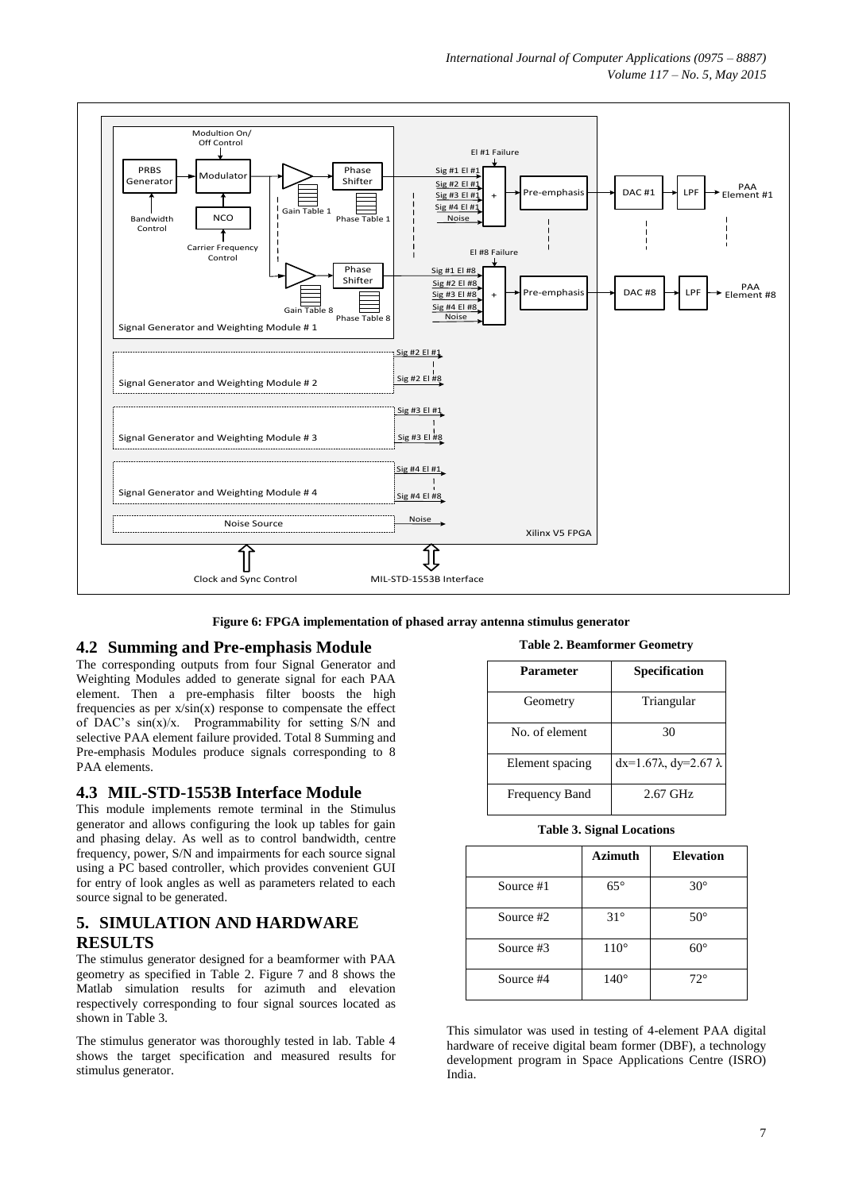

**Figure 6: FPGA implementation of phased array antenna stimulus generator**

### **4.2 Summing and Pre-emphasis Module**

The corresponding outputs from four Signal Generator and Weighting Modules added to generate signal for each PAA element. Then a pre-emphasis filter boosts the high frequencies as per  $x/sin(x)$  response to compensate the effect of DAC's sin(x)/x. Programmability for setting S/N and selective PAA element failure provided. Total 8 Summing and Pre-emphasis Modules produce signals corresponding to 8 PAA elements.

### **4.3 MIL-STD-1553B Interface Module**

This module implements remote terminal in the Stimulus generator and allows configuring the look up tables for gain and phasing delay. As well as to control bandwidth, centre frequency, power, S/N and impairments for each source signal using a PC based controller, which provides convenient GUI for entry of look angles as well as parameters related to each source signal to be generated.

# **5. SIMULATION AND HARDWARE RESULTS**

The stimulus generator designed for a beamformer with PAA geometry as specified in Table 2. Figure 7 and 8 shows the Matlab simulation results for azimuth and elevation respectively corresponding to four signal sources located as shown in Table 3.

The stimulus generator was thoroughly tested in lab. Table 4 shows the target specification and measured results for stimulus generator.

**Table 2. Beamformer Geometry**

| Parameter       | <b>Specification</b>                |
|-----------------|-------------------------------------|
| Geometry        | Triangular                          |
| No. of element  | 30                                  |
| Element spacing | $dx=1.67\lambda$ , $dy=2.67\lambda$ |
| Frequency Band  | 2.67 GHz                            |

**Table 3. Signal Locations**

|           | <b>Azimuth</b> | <b>Elevation</b> |
|-----------|----------------|------------------|
| Source #1 | $65^{\circ}$   | $30^\circ$       |
| Source #2 | $31^\circ$     | $50^{\circ}$     |
| Source #3 | $110^\circ$    | $60^{\circ}$     |
| Source #4 | $140^\circ$    | $72^{\circ}$     |

This simulator was used in testing of 4-element PAA digital hardware of receive digital beam former (DBF), a technology development program in Space Applications Centre (ISRO) India.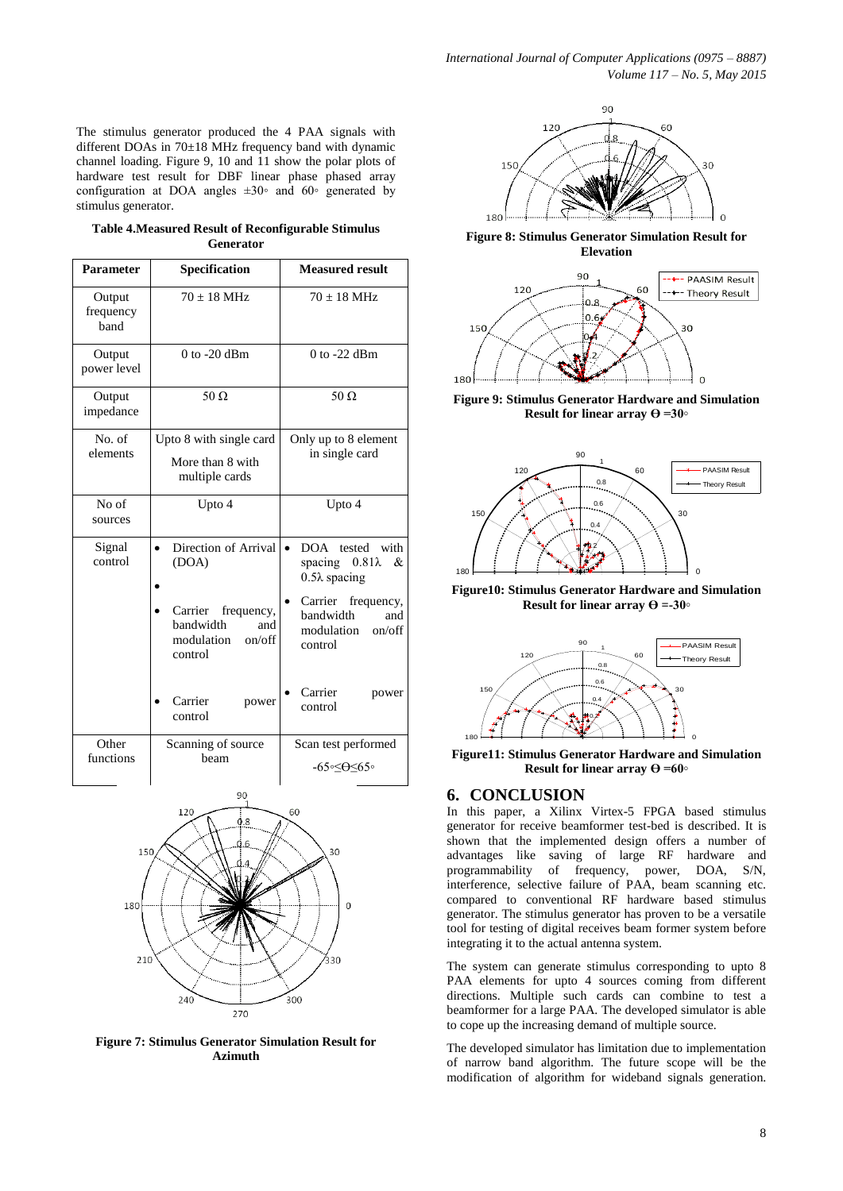The stimulus generator produced the 4 PAA signals with different DOAs in 70±18 MHz frequency band with dynamic channel loading. Figure 9, 10 and 11 show the polar plots of hardware test result for DBF linear phase phased array configuration at DOA angles  $\pm 30$ ° and 60° generated by stimulus generator.

|                  | Table 4. Measured Result of Reconfigurable Stimulus |  |  |  |
|------------------|-----------------------------------------------------|--|--|--|
| <b>Generator</b> |                                                     |  |  |  |

| Parameter                   | Specification                                                                                                                                | <b>Measured result</b>                                                                                                                                                                                  |  |  |
|-----------------------------|----------------------------------------------------------------------------------------------------------------------------------------------|---------------------------------------------------------------------------------------------------------------------------------------------------------------------------------------------------------|--|--|
| Output<br>frequency<br>band | $70 \pm 18$ MHz                                                                                                                              | $70 \pm 18$ MHz                                                                                                                                                                                         |  |  |
| Output<br>power level       | $0$ to $-20$ dBm                                                                                                                             | $0$ to -22 dBm                                                                                                                                                                                          |  |  |
| Output<br>impedance         | $50 \Omega$                                                                                                                                  | $50 \Omega$                                                                                                                                                                                             |  |  |
| No. of<br>elements          | Upto 8 with single card<br>More than 8 with<br>multiple cards                                                                                | Only up to 8 element<br>in single card                                                                                                                                                                  |  |  |
| No of<br>sources            | Upto 4                                                                                                                                       | Upto 4                                                                                                                                                                                                  |  |  |
| Signal<br>control           | Direction of Arrival<br>(DOA)<br>Carrier<br>frequency,<br>bandwidth<br>and<br>on/off<br>modulation<br>control<br>Carrier<br>power<br>control | DOA tested<br>with<br>$\bullet$<br>$0.81\lambda$<br>spacing<br>&<br>$0.5\lambda$ spacing<br>Carrier<br>frequency,<br>bandwidth<br>and<br>modulation<br>on/off<br>control<br>Carrier<br>power<br>control |  |  |
| Other<br>functions          | Scanning of source<br>heam                                                                                                                   | Scan test performed<br>-65∘≤⊖≤65∘                                                                                                                                                                       |  |  |
| 90<br>120<br>GΩ             |                                                                                                                                              |                                                                                                                                                                                                         |  |  |



**Figure 7: Stimulus Generator Simulation Result for Azimuth**



**Figure 8: Stimulus Generator Simulation Result for Elevation**



**Figure 9: Stimulus Generator Hardware and Simulation**  nera<br>r lin<br><sup>90</sup>



**Figure10: Stimulus Generator Hardware and Simulation** 



**Figure11: Stimulus Generator Hardware and Simulation Result for linear array ϴ =60◦**

# **6. CONCLUSION**

In this paper, a Xilinx Virtex-5 FPGA based stimulus generator for receive beamformer test-bed is described. It is shown that the implemented design offers a number of advantages like saving of large RF hardware and programmability of frequency, power, DOA, S/N, interference, selective failure of PAA, beam scanning etc. compared to conventional RF hardware based stimulus generator. The stimulus generator has proven to be a versatile tool for testing of digital receives beam former system before integrating it to the actual antenna system. 270 300

The system can generate stimulus corresponding to upto 8 PAA elements for upto 4 sources coming from different directions. Multiple such cards can combine to test a beamformer for a large PAA. The developed simulator is able to cope up the increasing demand of multiple source.

The developed simulator has limitation due to implementation of narrow band algorithm. The future scope will be the modification of algorithm for wideband signals generation.